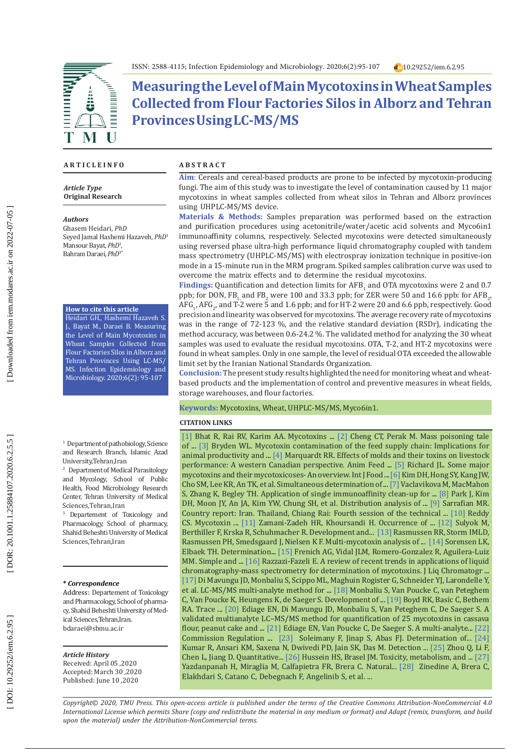

d<sub>o1</sub>10.29252/iem.6.2.95



# **Measuring the Level of Main Mycotoxins in Wheat Samples Collected from Flour Factories Silos in Alborz and Tehran Provinces Using LC-MS/MS**

### **A R T I C L E I N F O A B S T R A C T**

*Article Type* **Original Research**

#### *Authors*

Ghasem Heidari, *PhD* Seyed Jamal Hashemi Hazaveh, *PhD* 1 Mansour Bayat, *PhD* 1 , Bahram Daraei, *PhD*3\*

#### **How to cite this article**

Heidari GH., Hashemi Hazaveh S. J., Bayat M., Daraei B. Measuring the Level of Main Mycotoxins in Wheat Samples Collected from Flour Factories Silos in Alborz and Tehran Provinces Using LC-MS/ MS. Infection Epidemiology and Microbiology. 2020;6(2): 95-107

<sup>1</sup> Department of pathobiology, Science and Research Branch, Islamic Azad University,Tehran,Iran

2 Department of Medical Parasitology and Mycology, School of Public Health, Food Microbiology Research Center, Tehran University of Medical Sciences,Tehran,Iran

3 Departement of Toxicology and Pharmacology, School of pharmacy, Shahid Beheshti University of Medical Sciences,Tehran,Iran

#### **\*** *Correspondence*

Address: Departement of Toxicology and Pharmacology, School of pharma cy, Shahid Beheshti University of Med ical Sciences,Tehran,Iran . bdaraei@sbmu.ac.ir

#### *Article History*

Received: April 05 ,2020 Accepted: March 30 ,2020 Published: June 10 ,2020

**Aim** : Cereals and cereal-based products are prone to be infected by mycotoxin-producing fungi. The aim of this study was to investigate the level of contamination caused by 11 major mycotoxins in wheat samples collected from wheat silos in Tehran and Alborz provinces using UHPLC-MS/MS device.

**Materials & Methods:** Samples preparation was performed based on the extraction and purification procedures using acetonitrile/water/acetic acid solvents and Myco6in1 immunoaffinity columns, respectively. Selected mycotoxins were detected simultaneously using reversed phase ultra-high performance liquid chromatography coupled with tandem mass spectrometry (UHPLC-MS/MS) with electrospray ionization technique in positive-ion mode in a 15-minute run in the MRM program. Spiked samples calibration curve was used to overcome the matrix effects and to determine the residual mycotoxins.

Findings: Quantification and detection limits for AFB<sub>1</sub> and OTA mycotoxins were 2 and 0.7 ppb; for DON, FB<sub>1,</sub> and FB<sub>2</sub> were 100 and 33.3 ppb; for ZER were 50 and 16.6 ppb: for AFB<sub>2</sub>,  $\text{AFG}_1$ ,  $\text{AFG}_2$ , and T-2 were 5 and 1.6 ppb; and for HT-2 were 20 and 6.6 ppb, respectively. Good precision and linearity was observed for mycotoxins. The average recovery rate of mycotoxins was in the range of 72-123 %, and the relative standard deviation (RSDr), indicating the method accuracy, was between 0.6-24.2 %. The validated method for analyzing the 30 wheat samples was used to evaluate the residual mycotoxins. OTA, T-2, and HT-2 mycotoxins were found in wheat samples. Only in one sample, the level of residual OTA exceeded the allowable limit set by the Iranian National Standards Organization.

**Conclusion:** The present study results highlighted the need for monitoring wheat and wheatbased products and the implementation of control and preventive measures in wheat fields, storage warehouses, and flour factories.

#### **Keywords:** Mycotoxins, Wheat, UHPLC-MS/MS, Myco6in1.

#### **CITATION LINKS**

 $\lfloor 1 \rfloor$  Bhat R, Rai RV, Karim AA. Mycotoxins ...  $\lfloor 2 \rfloor$  Cheng CT, Perak M. Mass poisoning tale of ... [ 3 ] Bryden WL. Mycotoxin contamination of the feed supply chain: Implications for animal productivity and ...  $[4]$  Marquardt RR. Effects of molds and their toxins on livestock performance: A western Canadian perspective. Anim Feed ... [ 5 ] Richard JL. Some major mycotoxins and their mycotoxicoses- An overview. Int J Food ... [ 6] Kim DH, Hong SY, Kang JW, Cho SM, Lee KR, An TK, et al. Simultaneous determination of ... [ 7] Vaclavikova M, MacMahon S, Zhang K, Begley TH. Application of single immunoaffinity clean-up for ... [ 8 ] Park J, Kim DH, Moon JY, An JA, Kim YW, Chung SH, et al. Distribution analysis of ... [ 9 ] Sarrafian MR. Country report: Iran. Thailand, Chiang Rai: Fourth session of the technical ... [10 ] Reddy CS. Mycotoxin ... [11 ] Zamani-Zadeh HR, Khoursandi H. Occurrence of ... [12 ] Sulyok M, Berthiller F, Krska R, Schuhmacher R. Development and... [13 ] Rasmussen RR, Storm IMLD, Rasmussen PH, Smedsgaard J, Nielsen K F. Multi-mycotoxin analysis of ... [14 ] Sorensen LK, Elbaek TH. Determination... [15 ] Frenich AG, Vidal JLM, Romero-Gonzalez R, Aguilera-Luiz MM. Simple and ... [16] Razzazi-Fazeli E. A review of recent trends in applications of liquid chromatography-mass spectrometry for determination of mycotoxins. J Liq Chromatogr ... [17] Di Mavungu JD, Monbaliu S, Scippo ML, Maghuin Rogister G, Schneider YJ, Larondelle Y, et al . LC-MS/MS multi-analyte method for ... [18 ] Monbaliu S, Van Poucke C, van Peteghem C, Van Poucke K, Heungens K, de Saeger S. Development of ... [19 ] Boyd RK, Basic C, Bethem RA. Trace ... [20 ] Ediage EN, Di Mavungu JD, Monbaliu S, Van Peteghem C, De Saeger S. A validated multianalyte LC–MS/MS method for quantification of 25 mycotoxins in cassava flour, peanut cake and ...  $[21]$  Ediage EN, Van Poucke C, De Saeger S. A multi-analyte...  $[22]$ Commission Regulation ...  $\lfloor 23 \rfloor$  Soleimany F, Jinap S, Abas FJ. Determination of...  $\lfloor 24 \rfloor$ Kumar R, Ansari KM, Saxena N, Dwivedi PD, Jain SK, Das M. Detection ... [25 ] Zhou Q, Li F, Chen L, Jiang D. Quantitative... [26] Hussein HS, Brasel JM. Toxicity, metabolism, and ... [27] Yazdanpanah H, Miraglia M, Calfapietra FR, Brera C. Natural... [28 ] Zinedine A, Brera C, Elakhdari S, Catano C, Debegnach F, Angelinib S, et al. ...

*Copyright© 2020, TMU Press. This open-access article is published under the terms of the Creative Commons Attribution-NonCommercial 4.0 International License which permits Share (copy and redistribute the material in any medium or format) and Adapt (remix, transform, and build upon the material) under the Attribution-NonCommercial terms.*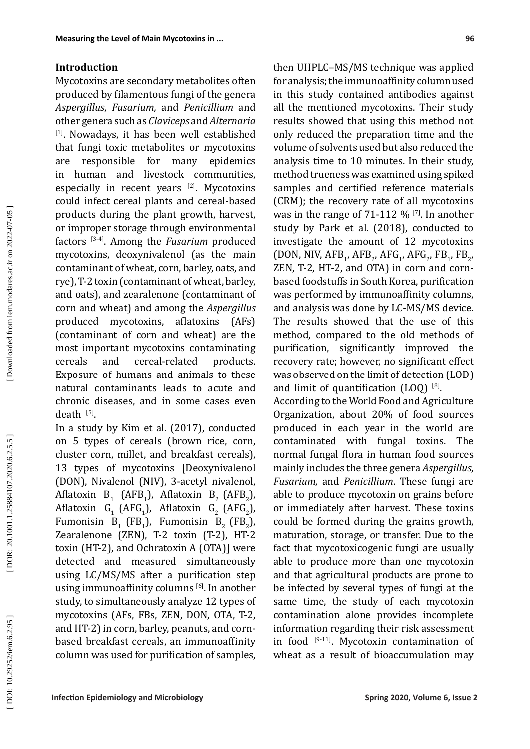## **Introduction**

Mycotoxins are secondary metabolites often produced by filamentous fungi of the genera *Aspergillus*, *Fusarium,* and *Penicillium* and other genera such as *Claviceps* and *Alternaria* [1]. Nowadays, it has been well established that fungi toxic metabolites or mycotoxins are responsible for many epidemics in human and livestock communities, especially in recent years  $[2]$ . Mycotoxins could infect cereal plants and cereal-based products during the plant growth, harvest, or improper storage through environmental factors [3-4]. Among the *Fusarium* produced mycotoxins, deoxynivalenol (as the main contaminant of wheat, corn, barley, oats, and rye), T-2 toxin (contaminant of wheat, barley, and oats), and zearalenone (contaminant of corn and wheat) and among the *Aspergillus* produced mycotoxins, aflatoxins (AFs) (contaminant of corn and wheat) are the most important mycotoxins contaminating cereals and cereal-related products. Exposure of humans and animals to these natural contaminants leads to acute and chronic diseases, and in some cases even death [5].

In a study by Kim et al. (2017), conducted on 5 types of cereals (brown rice, corn, cluster corn, millet, and breakfast cereals), 13 types of mycotoxins [Deoxynivalenol (DON), Nivalenol (NIV), 3-acetyl nivalenol, Aflatoxin  $B_1$  (AFB<sub>1</sub>), Aflatoxin B<sub>2</sub> (AFB<sub>2</sub>), 1  $\frac{1}{2}$   $\frac{1}{2}$   $\frac{1}{2}$   $\frac{1}{2}$ Aflatoxin G<sub>1</sub> (AFG<sub>1</sub>), Aflatoxin G<sub>2</sub> (AFG<sub>2</sub>), Fumonisin  $B_1$  (FB<sub>1</sub>), Fumonisin  $B_2$  (FB<sub>2</sub>),  $\frac{1}{2}$   $\frac{2}{2}$   $\frac{2}{2}$ Zearalenone (ZEN), T-2 toxin (T-2), HT-2 toxin (HT-2), and Ochratoxin A (OTA)] were detected and measured simultaneously using LC/MS/MS after a purification step using immunoaffinity columns [6]. In another study, to simultaneously analyze 12 types of mycotoxins (AFs, FBs, ZEN, DON, OTA, T-2, and HT-2) in corn, barley, peanuts, and cornbased breakfast cereals, an immunoaffinity column was used for purification of samples,

then UHPLC–MS/MS technique was applied for analysis; the immunoaffinity column used in this study contained antibodies against all the mentioned mycotoxins. Their study results showed that using this method not only reduced the preparation time and the volume of solvents used but also reduced the analysis time to 10 minutes. In their study, method trueness was examined using spiked samples and certified reference materials (CRM); the recovery rate of all mycotoxins was in the range of 71-112  $\%$  <sup>[7]</sup>. In another study by Park et al. (2018), conducted to investigate the amount of 12 mycotoxins (DON, NIV,  $AFB_1$ ,  $AFB_2$ ,  $AFG_1$ ,  $AFG_2$ ,  $FB_1$ ,  $FB_2$ , ZEN, T-2, HT-2, and OTA) in corn and cornbased foodstuffs in South Korea, purification was performed by immunoaffinity columns, and analysis was done by LC-MS/MS device. The results showed that the use of this method, compared to the old methods of purification, significantly improved the recovery rate; however, no significant effect was observed on the limit of detection (LOD) and limit of quantification  $(LOQ)^{[8]}$ .

According to the World Food and Agriculture Organization, about 20% of food sources produced in each year in the world are contaminated with fungal toxins. The normal fungal flora in human food sources mainly includes the three genera *Aspergillus*, *Fusarium,* and *Penicillium*. These fungi are able to produce mycotoxin on grains before or immediately after harvest. These toxins could be formed during the grains growth, maturation, storage, or transfer. Due to the fact that mycotoxicogenic fungi are usually able to produce more than one mycotoxin and that agricultural products are prone to be infected by several types of fungi at the same time, the study of each mycotoxin contamination alone provides incomplete information regarding their risk assessment in food [9-11]. Mycotoxin contamination of wheat as a result of bioaccumulation may

Downloaded from iem.modares.ac.ir on 2022-07-05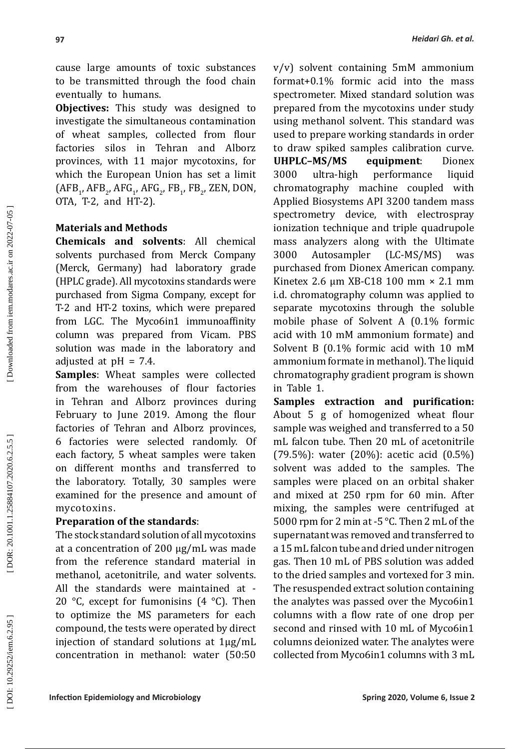cause large amounts of toxic substances to be transmitted through the food chain eventually to humans.

**Objectives:** This study was designed to investigate the simultaneous contamination of wheat samples, collected from flour factories silos in Tehran and Alborz provinces, with 11 major mycotoxins, for which the European Union has set a limit  $(AFB_1, AFB_2, AFG_1, AFG_2, FB_1, FB_2, ZEN, DON, T.$ OTA, T-2, and HT-2).

## **Materials and Methods**

**Chemicals and solvents**: All chemical solvents purchased from Merck Company (Merck, Germany) had laboratory grade (HPLC grade). All mycotoxins standards were purchased from Sigma Company, except for T-2 and HT-2 toxins, which were prepared from LGC. The Myco6in1 immunoaffinity column was prepared from Vicam. PBS solution was made in the laboratory and adjusted at  $pH = 7.4$ .

**Samples**: Wheat samples were collected from the warehouses of flour factories in Tehran and Alborz provinces during February to June 2019. Among the flour factories of Tehran and Alborz provinces, 6 factories were selected randomly. Of each factory, 5 wheat samples were taken on different months and transferred to the laboratory. Totally, 30 samples were examined for the presence and amount of mycotoxins.

## **Preparation of the standards**:

The stock standard solution of all mycotoxins at a concentration of 200 µg/mL was made from the reference standard material in methanol, acetonitrile, and water solvents. All the standards were maintained at - 20 °C, except for fumonisins  $(4 \text{ }^{\circ}C)$ . Then to optimize the MS parameters for each compound, the tests were operated by direct injection of standard solutions at 1 µg/mL concentration in methanol: water (50:50

v/v) solvent containing 5mM ammonium format+0.1% formic acid into the mass spectrometer. Mixed standard solution was prepared from the mycotoxins under study using methanol solvent. This standard was used to prepare working standards in order to draw spiked samples calibration curve.<br>UHPLC-MS/MS equipment: Dionex **UHPLC–MS/MS equipment**: Dionex 3000 ultra-high performance liquid chromatography machine coupled with Applied Biosystems API 3200 tandem mass spectrometry device, with electrospray ionization technique and triple quadrupole mass analyzers along with the Ultimate 3000 Autosampler (LC-MS/MS) was purchased from Dionex American company. Kinetex 2.6 μm XB-C18 100 mm × 2.1 mm i.d. chromatography column was applied to separate mycotoxins through the soluble mobile phase of Solvent A (0.1% formic acid with 10 mM ammonium formate) and Solvent B (0.1% formic acid with 10 mM ammonium formate in methanol). The liquid chromatography gradient program is shown in Table 1.

**Samples extraction and purification:** About 5 g of homogenized wheat flour sample was weighed and transferred to a 50 mL falcon tube. Then 20 mL of acetonitrile (79.5%): water (20%): acetic acid (0.5%) solvent was added to the samples. The samples were placed on an orbital shaker and mixed at 250 rpm for 60 min. After mixing, the samples were centrifuged at 5000 rpm for 2 min at -5 °C. Then 2 mL of the supernatant was removed and transferred to a 15 mL falcon tube and dried under nitrogen gas. Then 10 mL of PBS solution was added to the dried samples and vortexed for 3 min. The resuspended extract solution containing the analytes was passed over the Myco6in1 columns with a flow rate of one drop per second and rinsed with 10 mL of Myco6in1 columns deionized water. The analytes were collected from Myco6in1 columns with 3 mL

DOR: 20.1001.1.25884107.2020.6.2.5.5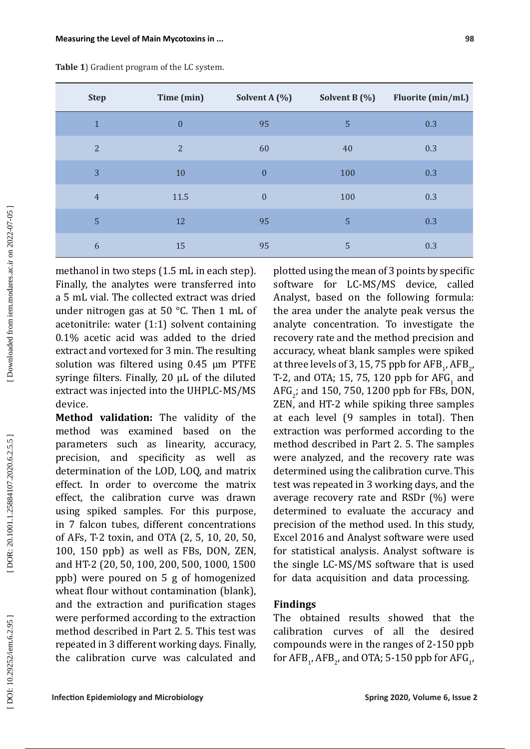| <b>Step</b>    | Time (min)       | Solvent A (%)    | Solvent B (%) | Fluorite (min/mL) |
|----------------|------------------|------------------|---------------|-------------------|
| $\mathbf{1}$   | $\boldsymbol{0}$ | 95               | 5             | 0.3               |
| $\overline{2}$ | $\overline{2}$   | 60               | 40            | 0.3               |
| 3              | 10               | $\boldsymbol{0}$ | 100           | 0.3               |
| $\overline{4}$ | 11.5             | $\boldsymbol{0}$ | 100           | 0.3               |
| 5              | 12               | 95               | 5             | 0.3               |
| 6              | 15               | 95               | 5             | 0.3               |

**Table 1**) Gradient program of the LC system.

methanol in two steps (1.5 mL in each step). Finally, the analytes were transferred into a 5 mL vial. The collected extract was dried under nitrogen gas at 50 °C. Then 1 mL of acetonitrile: water (1:1) solvent containing 0.1% acetic acid was added to the dried extract and vortexed for 3 min. The resulting solution was filtered using 0.45 µm PTFE syringe filters. Finally, 20 µL of the diluted extract was injected into the UHPLC-MS/MS device.

**Method validation:** The validity of the method was examined based on the parameters such as linearity, accuracy, precision, and specificity as well as determination of the LOD, LOQ, and matrix effect. In order to overcome the matrix effect, the calibration curve was drawn using spiked samples. For this purpose, in 7 falcon tubes, different concentrations of AFs, T-2 toxin, and OTA (2, 5, 10, 20, 50, 100, 150 ppb) as well as FBs, DON, ZEN, and HT-2 (20, 50, 100, 200, 500, 1000, 1500 ppb) were poured on 5 g of homogenized wheat flour without contamination (blank), and the extraction and purification stages were performed according to the extraction method described in Part 2. 5. This test was repeated in 3 different working days. Finally, the calibration curve was calculated and

plotted using the mean of 3 points by specific software for LC-MS/MS device, called Analyst, based on the following formula: the area under the analyte peak versus the analyte concentration. To investigate the recovery rate and the method precision and accuracy, wheat blank samples were spiked at three levels of 3, 15, 75 ppb for  $\rm{AFB}_{1}$ ,  $\rm{AFB}_{2'}$ T-2, and OTA; 15, 75, 120 ppb for  $\text{AFG}_1$  and AFG $_2$ ; and 150, 750, 1200 ppb for FBs, DON, 2 ZEN, and HT-2 while spiking three samples at each level (9 samples in total). Then extraction was performed according to the method described in Part 2. 5. The samples were analyzed, and the recovery rate was determined using the calibration curve. This test was repeated in 3 working days, and the average recovery rate and RSDr (%) were determined to evaluate the accuracy and precision of the method used. In this study, Excel 2016 and Analyst software were used for statistical analysis. Analyst software is the single LC-MS/MS software that is used for data acquisition and data processing.

## **Findings**

The obtained results showed that the calibration curves of all the desired compounds were in the ranges of 2-150 ppb for  $\text{AFB}_{1}$ ,  $\text{AFB}_{2}$ , and OTA; 5-150 ppb for  $\text{AFG}_{1}$ ,

DOR: 20.1001.1.25884107.2020.6.2.5.5

Downloaded from iem.modares.ac.ir on 2022-07-05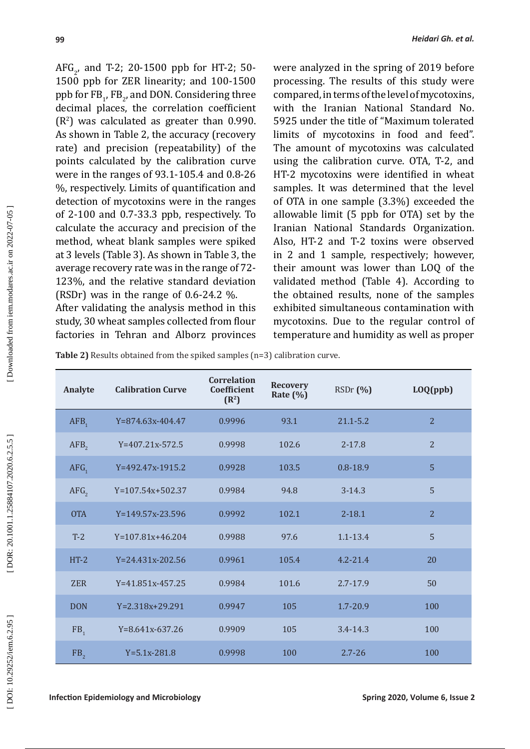$AFG_2$ , and T-2; 20-1500 ppb for HT-2; 50-1500 ppb for ZER linearity; and 100-1500  $p$ ppb for  $FB_{1}$ , FB<sub>2</sub>, and DON. Considering three decimal places, the correlation coefficient (R 2 ) was calculated as greater than 0.990. As shown in Table 2, the accuracy (recovery rate) and precision (repeatability) of the points calculated by the calibration curve were in the ranges of 93.1-105.4 and 0.8-26 %, respectively. Limits of quantification and

(RSDr) was in the range of 0.6-24.2 %. After validating the analysis method in this study, 30 wheat samples collected from flour factories in Tehran and Alborz provinces

detection of mycotoxins were in the ranges of 2-100 and 0.7-33.3 ppb, respectively. To calculate the accuracy and precision of the method, wheat blank samples were spiked at 3 levels (Table 3). As shown in Table 3, the average recovery rate was in the range of 72- 123%, and the relative standard deviation were analyzed in the spring of 2019 before processing. The results of this study were compared, in terms of the level of mycotoxins, with the Iranian National Standard No. 5925 under the title of "Maximum tolerated limits of mycotoxins in food and feed". The amount of mycotoxins was calculated using the calibration curve. OTA, T-2, and HT-2 mycotoxins were identified in wheat samples. It was determined that the level of OTA in one sample (3.3%) exceeded the allowable limit (5 ppb for OTA) set by the Iranian National Standards Organization. Also, HT-2 and T-2 toxins were observed in 2 and 1 sample, respectively; however, their amount was lower than LOQ of the validated method (Table 4). According to the obtained results, none of the samples exhibited simultaneous contamination with mycotoxins. Due to the regular control of temperature and humidity as well as proper

**Table 2)** Results obtained from the spiked samples (n=3) calibration curve.

| Analyte          | <b>Calibration Curve</b> | <b>Correlation</b><br>Coefficient<br>(R <sup>2</sup> ) | <b>Recovery</b><br>Rate $(\%)$ | RSDr(%)      | LOQ(ppb)       |
|------------------|--------------------------|--------------------------------------------------------|--------------------------------|--------------|----------------|
| AFB <sub>1</sub> | $Y=874.63x-404.47$       | 0.9996                                                 | 93.1                           | $21.1 - 5.2$ | $\overline{2}$ |
| AFB <sub>2</sub> | $Y=407.21x-572.5$        | 0.9998                                                 | 102.6                          | $2 - 17.8$   | $\overline{2}$ |
| AFG <sub>1</sub> | Y=492.47x-1915.2         | 0.9928                                                 | 103.5                          | $0.8 - 18.9$ | 5              |
| AFG <sub>2</sub> | $Y=107.54x+502.37$       | 0.9984                                                 | 94.8                           | $3 - 14.3$   | 5              |
| <b>OTA</b>       | Y=149.57x-23.596         | 0.9992                                                 | 102.1                          | $2 - 18.1$   | $\overline{2}$ |
| $T-2$            | $Y=107.81x+46.204$       | 0.9988                                                 | 97.6                           | $1.1 - 13.4$ | 5              |
| $HT-2$           | $Y = 24.431x - 202.56$   | 0.9961                                                 | 105.4                          | $4.2 - 21.4$ | 20             |
| <b>ZER</b>       | $Y=41.851x-457.25$       | 0.9984                                                 | 101.6                          | $2.7 - 17.9$ | 50             |
| <b>DON</b>       | $Y = 2.318x + 29.291$    | 0.9947                                                 | 105                            | $1.7 - 20.9$ | 100            |
| FB <sub>1</sub>  | $Y=8.641x-637.26$        | 0.9909                                                 | 105                            | $3.4 - 14.3$ | 100            |
| FB <sub>2</sub>  | $Y=5.1x-281.8$           | 0.9998                                                 | 100                            | $2.7 - 26$   | 100            |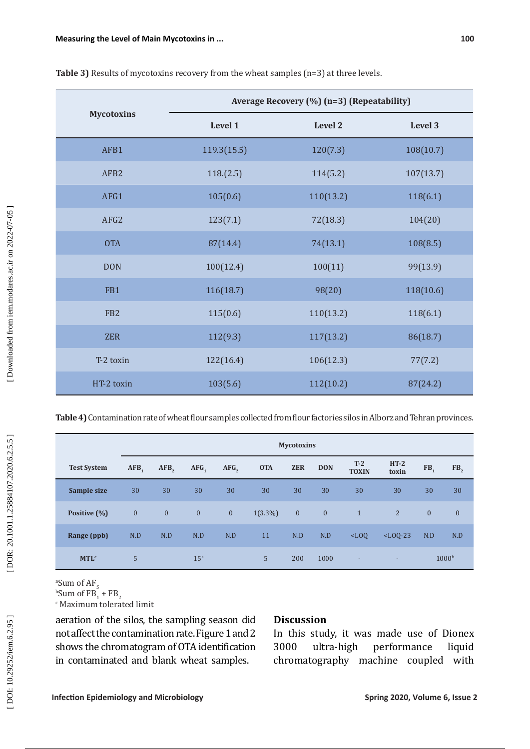|                   | Average Recovery (%) (n=3) (Repeatability) |           |           |  |  |  |  |
|-------------------|--------------------------------------------|-----------|-----------|--|--|--|--|
| <b>Mycotoxins</b> | Level 1                                    | Level 2   | Level 3   |  |  |  |  |
| AFB1              | 119.3(15.5)                                | 120(7.3)  | 108(10.7) |  |  |  |  |
| AFB <sub>2</sub>  | 118.(2.5)                                  | 114(5.2)  | 107(13.7) |  |  |  |  |
| AFG1              | 105(0.6)                                   | 110(13.2) | 118(6.1)  |  |  |  |  |
| AFG2              | 123(7.1)                                   | 72(18.3)  | 104(20)   |  |  |  |  |
| <b>OTA</b>        | 87(14.4)                                   | 74(13.1)  | 108(8.5)  |  |  |  |  |
| <b>DON</b>        | 100(12.4)                                  | 100(11)   | 99(13.9)  |  |  |  |  |
| FB1               | 116(18.7)                                  | 98(20)    | 118(10.6) |  |  |  |  |
| FB <sub>2</sub>   | 115(0.6)                                   | 110(13.2) | 118(6.1)  |  |  |  |  |
| <b>ZER</b>        | 112(9.3)                                   | 117(13.2) | 86(18.7)  |  |  |  |  |
| T-2 toxin         | 122(16.4)                                  | 106(12.3) | 77(7.2)   |  |  |  |  |
| HT-2 toxin        | 103(5.6)                                   | 112(10.2) | 87(24.2)  |  |  |  |  |

| Table 3) Results of mycotoxins recovery from the wheat samples (n=3) at three levels. |  |
|---------------------------------------------------------------------------------------|--|
|---------------------------------------------------------------------------------------|--|

**Table 4)** Contamination rate of wheat flour samples collected from flour factories silos in Alborz and Tehran provinces.

|                        | <b>Mycotoxins</b> |                  |                  |                  |            |              |              |                       |                 |                 |                   |
|------------------------|-------------------|------------------|------------------|------------------|------------|--------------|--------------|-----------------------|-----------------|-----------------|-------------------|
| <b>Test System</b>     | AFB <sub>1</sub>  | AFB <sub>2</sub> | AFG <sub>1</sub> | AFG <sub>2</sub> | <b>OTA</b> | <b>ZER</b>   | <b>DON</b>   | $T-2$<br><b>TOXIN</b> | $HT-2$<br>toxin | FB <sub>1</sub> | FB <sub>2</sub>   |
| Sample size            | 30                | 30               | 30               | 30               | 30         | 30           | 30           | 30                    | 30              | 30              | 30                |
| Positive (%)           | $\mathbf{0}$      | $\mathbf{0}$     | $\mathbf{0}$     | $\mathbf{0}$     | $1(3.3\%)$ | $\mathbf{0}$ | $\mathbf{0}$ | $\mathbf{1}$          | $\overline{2}$  | $\overline{0}$  | $\mathbf{0}$      |
| Range (ppb)            | N.D               | N.D              | N.D              | N.D              | 11         | N.D          | N.D          | $<$ LOQ               | $<$ LOQ-23      | N.D             | N.D               |
| <b>MTL<sup>c</sup></b> | 5                 |                  | 15 <sup>a</sup>  |                  | 5          | 200          | 1000         | ٠                     | ٠               |                 | 1000 <sup>b</sup> |

<sup>a</sup>Sum of  $FB_1 + FB_2$ c Maximum tolerated limit

aeration of the silos, the sampling season did not affect the contamination rate. Figure 1 and 2 shows the chromatogram of OTA identification in contaminated and blank wheat samples.

## **Discussion**

In this study, it was made use of Dionex<br>3000 ultra-high performance liquid performance chromatography machine coupled with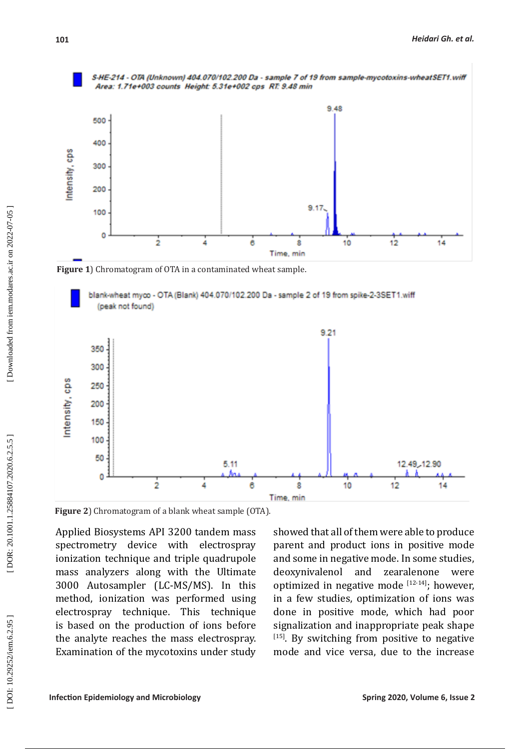

**Figure 1**) Chromatogram of OTA in a contaminated wheat sample.





**Figure 2**) Chromatogram of a blank wheat sample (OTA).

Applied Biosystems API 3200 tandem mass spectrometry device with electrospray ionization technique and triple quadrupole mass analyzers along with the Ultimate 3000 Autosampler (LC-MS/MS). In this method, ionization was performed using electrospray technique. This technique is based on the production of ions before the analyte reaches the mass electrospray. Examination of the mycotoxins under study showed that all of them were able to produce parent and product ions in positive mode and some in negative mode. In some studies, deoxynivalenol and zearalenone were optimized in negative mode [12-14]; however, in a few studies, optimization of ions was done in positive mode, which had poor signalization and inappropriate peak shape  $[15]$ . By switching from positive to negative mode and vice versa, due to the increase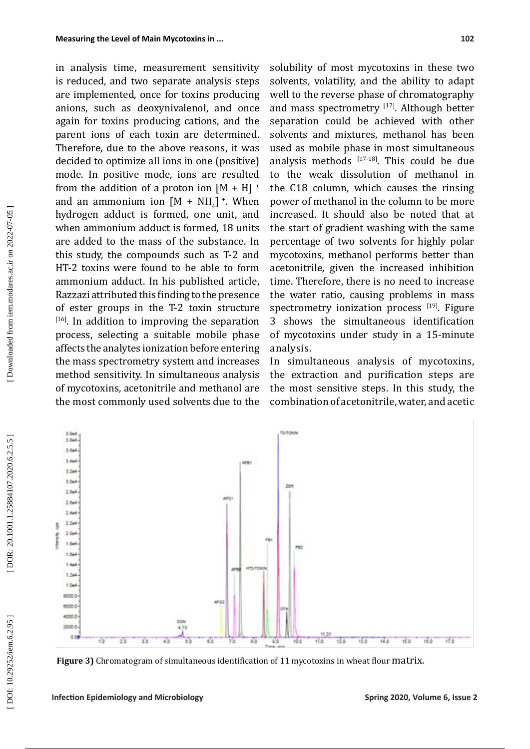in analysis time, measurement sensitivity is reduced, and two separate analysis steps are implemented, once for toxins producing anions, such as deoxynivalenol, and once again for toxins producing cations, and the parent ions of each toxin are determined. Therefore, due to the above reasons, it was decided to optimize all ions in one (positive) mode. In positive mode, ions are resulted from the addition of a proton ion  $[M + H]$  <sup>+</sup> and an ammonium ion  $[M + NH_4]$   $\cdot$ . When hydrogen adduct is formed, one unit, and when ammonium adduct is formed, 18 units are added to the mass of the substance. In this study, the compounds such as T-2 and HT-2 toxins were found to be able to form ammonium adduct. In his published article, Razzazi attributed this finding to the presence of ester groups in the T-2 toxin structure  $[16]$ . In addition to improving the separation process, selecting a suitable mobile phase affects the analytes ionization before entering the mass spectrometry system and increases method sensitivity. In simultaneous analysis of mycotoxins, acetonitrile and methanol are the most commonly used solvents due to the

solubility of most mycotoxins in these two solvents, volatility, and the ability to adapt well to the reverse phase of chromatography and mass spectrometry [17]. Although better separation could be achieved with other solvents and mixtures, methanol has been used as mobile phase in most simultaneous analysis methods  $[17-18]$ . This could be due to the weak dissolution of methanol in the C18 column, which causes the rinsing power of methanol in the column to be more increased. It should also be noted that at the start of gradient washing with the same percentage of two solvents for highly polar mycotoxins, methanol performs better than acetonitrile, given the increased inhibition time. Therefore, there is no need to increase the water ratio, causing problems in mass spectrometry ionization process  $[19]$ . Figure 3 shows the simultaneous identification of mycotoxins under study in a 15-minute analysis.

In simultaneous analysis of mycotoxins, the extraction and purification steps are the most sensitive steps. In this study, the combination of acetonitrile, water, and acetic



**Figure 3)** Chromatogram of simultaneous identification of 11 mycotoxins in wheat flour matrix.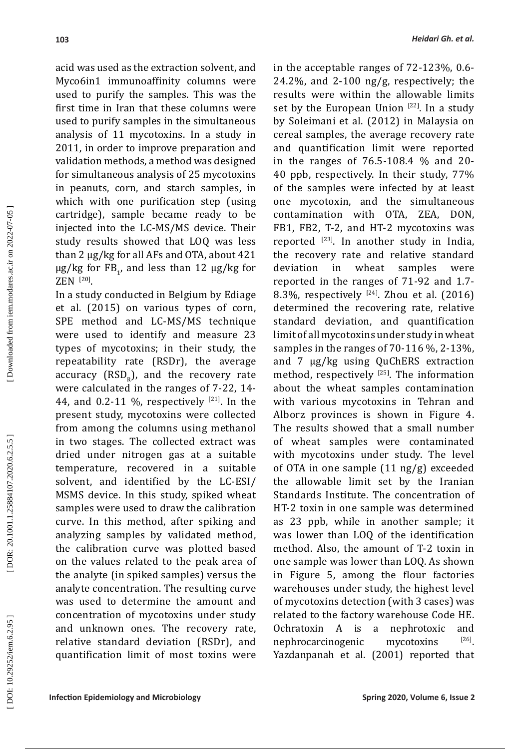acid was used as the extraction solvent, and Myco6in1 immunoaffinity columns were used to purify the samples. This was the first time in Iran that these columns were used to purify samples in the simultaneous analysis of 11 mycotoxins. In a study in 2011, in order to improve preparation and validation methods, a method was designed for simultaneous analysis of 25 mycotoxins in peanuts, corn, and starch samples, in which with one purification step (using cartridge), sample became ready to be injected into the LC-MS/MS device. Their study results showed that LOQ was less than 2 µg/kg for all AFs and OTA, about 421  $\mu$ g/kg for FB<sub>1</sub>, and less than 12  $\mu$ g/kg for  $ZEN$ <sup>[20]</sup>.

In a study conducted in Belgium by Ediage et al. (2015) on various types of corn, SPE method and LC-MS/MS technique were used to identify and measure 23 types of mycotoxins; in their study, the repeatability rate (RSDr), the average accuracy  $(RSD_R)$ , and the recovery rate were calculated in the ranges of 7-22, 14- 44, and 0.2-11 %, respectively  $[21]$ . In the present study, mycotoxins were collected from among the columns using methanol in two stages. The collected extract was dried under nitrogen gas at a suitable temperature, recovered in a suitable solvent, and identified by the LC-ESI/ MSMS device. In this study, spiked wheat samples were used to draw the calibration curve. In this method, after spiking and analyzing samples by validated method, the calibration curve was plotted based on the values related to the peak area of the analyte (in spiked samples) versus the analyte concentration. The resulting curve was used to determine the amount and concentration of mycotoxins under study and unknown ones. The recovery rate, relative standard deviation (RSDr), and quantification limit of most toxins were

in the acceptable ranges of 72-123%, 0.6- 24.2%, and 2-100 ng/g, respectively; the results were within the allowable limits set by the European Union  $[22]$ . In a study by Soleimani et al. (2012) in Malaysia on cereal samples, the average recovery rate and quantification limit were reported in the ranges of 76.5-108.4 % and 20- 40 ppb, respectively. In their study, 77% of the samples were infected by at least one mycotoxin, and the simultaneous contamination with OTA, ZEA, DON, FB1, FB2, T-2, and HT-2 mycotoxins was reported  $[23]$ . In another study in India, the recovery rate and relative standard<br>deviation in wheat samples were deviation in wheat samples were reported in the ranges of 71-92 and 1.7- 8.3%, respectively  $[24]$ . Zhou et al. (2016) determined the recovering rate, relative standard deviation, and quantification limit of all mycotoxins under study in wheat samples in the ranges of 70-116 %, 2-13%, and 7 µg/kg using QuChERS extraction method, respectively  $[25]$ . The information about the wheat samples contamination with various mycotoxins in Tehran and Alborz provinces is shown in Figure 4. The results showed that a small number of wheat samples were contaminated with mycotoxins under study. The level of OTA in one sample (11 ng/g) exceeded the allowable limit set by the Iranian Standards Institute. The concentration of HT-2 toxin in one sample was determined as 23 ppb, while in another sample; it was lower than LOQ of the identification method. Also, the amount of T-2 toxin in one sample was lower than LOQ. As shown in Figure 5, among the flour factories warehouses under study, the highest level of mycotoxins detection (with 3 cases) was related to the factory warehouse Code HE. Ochratoxin A is a nephrotoxic and<br>nephrocarcinogenic mycotoxins  $[26]$ nephrocarcinogenic mycotoxins [26]. Yazdanpanah et al. (2001) reported that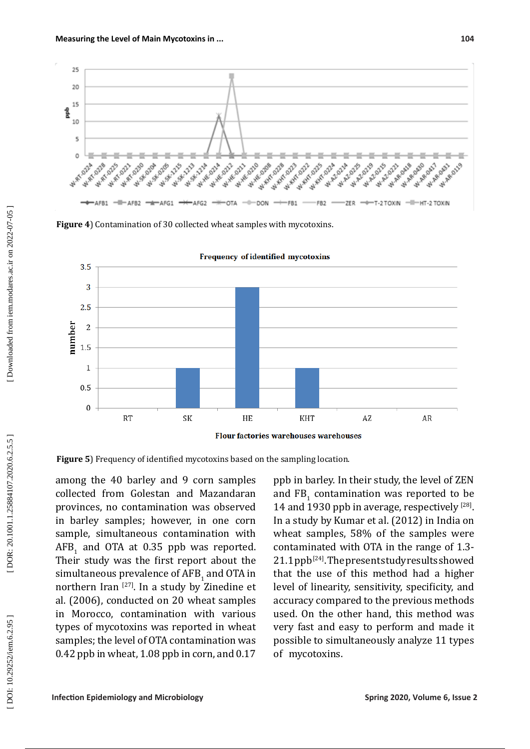

**Figure 4**) Contamination of 30 collected wheat samples with mycotoxins.



Frequency of identified mycotoxins

**Figure 5**) Frequency of identified mycotoxins based on the sampling location.

among the 40 barley and 9 corn samples collected from Golestan and Mazandaran provinces, no contamination was observed in barley samples; however, in one corn sample, simultaneous contamination with  $AFB_{1}$  and OTA at 0.35 ppb was reported. 1 Their study was the first report about the simultaneous prevalence of  $\mathbf{AFB}_{1}$  and  $\mathbf{OTA}$  in 1 northern Iran [27]. In a study by Zinedine et al. (2006), conducted on 20 wheat samples in Morocco, contamination with various types of mycotoxins was reported in wheat samples; the level of OTA contamination was 0.42 ppb in wheat, 1.08 ppb in corn, and 0.17

ppb in barley. In their study, the level of ZEN and  $FB<sub>1</sub>$  contamination was reported to be 14 and 1930 ppb in average, respectively <sup>[28]</sup>. In a study by Kumar et al. (2012) in India on wheat samples, 58% of the samples were contaminated with OTA in the range of 1.3- 21.1 ppb<sup>[24]</sup>. The present study results showed that the use of this method had a higher level of linearity, sensitivity, specificity, and accuracy compared to the previous methods used. On the other hand, this method was very fast and easy to perform and made it possible to simultaneously analyze 11 types of mycotoxins.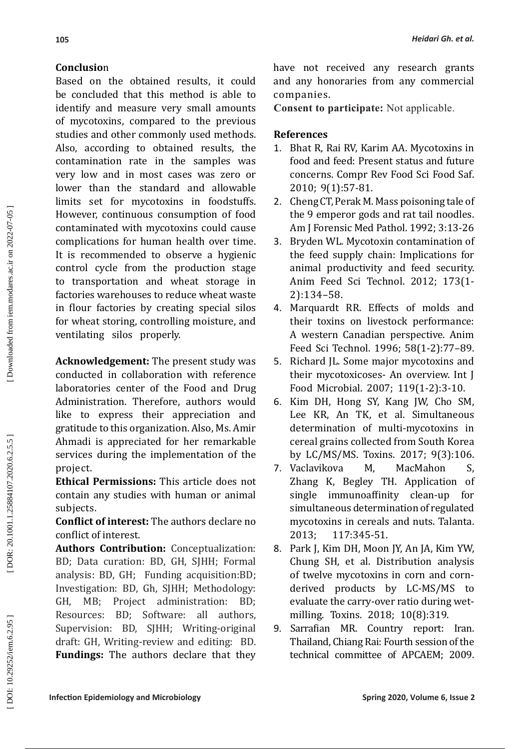# **Conclusio** n

Based on the obtained results, it could be concluded that this method is able to identify and measure very small amounts of mycotoxins, compared to the previous studies and other commonly used methods. Also, according to obtained results, the contamination rate in the samples was very low and in most cases was zero or lower than the standard and allowable limits set for mycotoxins in foodstuffs. However, continuous consumption of food contaminated with mycotoxins could cause complications for human health over time. It is recommended to observe a hygienic control cycle from the production stage to transportation and wheat storage in factories warehouses to reduce wheat waste in flour factories by creating special silos for wheat storing, controlling moisture, and ventilating silos properly.

**Acknowledgement:** The present study was conducted in collaboration with reference laboratories center of the Food and Drug Administration. Therefore, authors would like to express their appreciation and gratitude to this organization. Also, Ms. Amir Ahmadi is appreciated for her remarkable services during the implementation of the project.

**Ethical Permissions:** This article does not contain any studies with human or animal subjects.

**Conflict of interest:** The authors declare no conflict of interest.

**Authors Contribution:** Conceptualization: BD; Data curation: BD, GH, SJHH; Formal analysis: BD, GH; Funding acquisition:BD; Investigation: BD, Gh, SJHH; Methodology: GH, MB; Project administration: BD; Resources: BD; Software: all authors, Supervision: BD, SJHH; Writing-original draft: GH, Writing-review and editing: BD. **Fundings:** The authors declare that they have not received any research grants and any honoraries from any commercial companies.

**Consent to participate:** Not applicable.

## **References**

- 1. Bhat R, Rai RV, Karim AA. Mycotoxins in food and feed: Present status and future concerns. Compr Rev Food Sci Food Saf. 2010; 9(1):57-81.
- 2. Cheng CT, Perak M. Mass poisoning tale of the 9 emperor gods and rat tail noodles. Am J Forensic Med Pathol. 1992; 3:13-26
- 3. Bryden WL. Mycotoxin contamination of the feed supply chain: Implications for animal productivity and feed security. Anim Feed Sci Technol. 2012; 173(1- 2):134–58.
- 4. Marquardt RR. Effects of molds and their toxins on livestock performance: A western Canadian perspective. Anim Feed Sci Technol. 1996; 58(1-2):77–89.
- 5. Richard JL. Some major mycotoxins and their mycotoxicoses- An overview. Int J Food Microbial. 2007; 119(1-2):3-10.
- 6. Kim DH, Hong SY, Kang JW, Cho SM, Lee KR, An TK, et al. Simultaneous determination of multi-mycotoxins in cereal grains collected from South Korea by LC/MS/MS. Toxins. 2017; 9(3):106 .
- 7. Vaclavikova M, MacMahon S, Zhang K, Begley TH. Application of single immunoaffinity clean-up for simultaneous determination of regulated mycotoxins in cereals and nuts. Talanta.<br>2013: 117:345-51. 2013; 117:345-51 .
- 8. Park J, Kim DH, Moon JY, An JA, Kim YW, Chung SH, et al. Distribution analysis of twelve mycotoxins in corn and cornderived products by LC-MS/MS to evaluate the carry-over ratio during wetmilling. Toxins. 2018; 10(8):319.
- 9. Sarrafian MR. Country report: Iran. Thailand, Chiang Rai: Fourth session of the technical committee of APCAEM; 2009.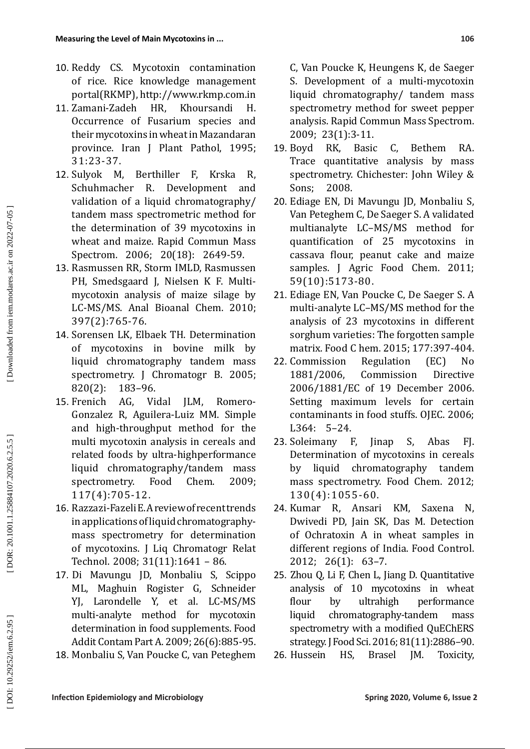- 10. Reddy CS. Mycotoxin contamination of rice. Rice knowledge management portal(RKMP), http://www.rkmp.com.in
- 11. Zamani-Zadeh HR, Khoursandi H. Occurrence of Fusarium species and their mycotoxins in wheat in Mazandaran province. Iran J Plant Pathol , 1995; 31:23-37.
- 12. Sulyok M, Berthiller F, Krska R, Schuhmacher R. Development and validation of a liquid chromatography/ tandem mass spectrometric method for the determination of 39 mycotoxins in wheat and maize. Rapid Commun Mass Spectrom. 2006; 20(18): 2649-59.
- 13. Rasmussen RR, Storm IMLD, Rasmussen PH, Smedsgaard J, Nielsen K F. Multimycotoxin analysis of maize silage by LC-MS/MS. Anal Bioanal Chem. 2010; 397(2):765-76.
- 14. Sorensen LK, Elbaek TH. Determination of mycotoxins in bovine milk by liquid chromatography tandem mass spectrometry. J Chromatogr B. 2005;<br>820(2): 183-96. 183-96.
- 15. Frenich AG, Vidal JLM, Romero-Gonzalez R, Aguilera-Luiz MM. Simple and high-throughput method for the multi mycotoxin analysis in cereals and related foods by ultra-highperformance liquid chromatography/tandem mass<br>spectrometry. Food Chem. 2009: spectrometry. 117(4):705-12.
- 16. Razzazi-Fazeli E. A review of recent trends in applications of liquid chromatographymass spectrometry for determination of mycotoxins. J Liq Chromatogr Relat Technol. 2008; 31(11):1641 – 86.
- 17. Di Mavungu JD, Monbaliu S, Scippo ML, Maghuin Rogister G, Schneider YJ , Larondelle Y, et al . LC-MS/MS multi-analyte method for mycotoxin determination in food supplements. Food Addit Contam Part A. 2009; 26(6):885-95.
- 18. Monbaliu S, Van Poucke C, van Peteghem

C, Van Poucke K, Heungens K, de Saeger S. Development of a multi-mycotoxin liquid chromatography / tandem mass spectrometry method for sweet pepper analysis. Rapid Commun Mass Spectrom. 2009; 23(1):3-11.

- 19. Boyd RK, Basic C, Bethem RA. Trace quantitative analysis by mass spectrometry. Chichester: John Wiley & Sons; 2008.
- 20. Ediage EN, Di Mavungu JD, Monbaliu S, Van Peteghem C, De Saeger S. A validated multianalyte LC–MS/MS method for quantification of 25 mycotoxins in cassava flour, peanut cake and maize samples. J Agric Food Chem. 2011; 59(10):5173-80 .
- 21. Ediage EN, Van Poucke C, De Saeger S. A multi-analyte LC–MS/MS method for the analysis of 23 mycotoxins in different sorghum varieties: The forgotten sample matrix. Food C hem. 2015; 177:397-404 .
- 22. Commission Regulation (EC) No<br>1881/2006, Commission Directive **Commission** 2006/1881/EC of 19 December 2006. Setting maximum levels for certain contaminants in food stuffs. OJEC. 2006; L364: 5–24.
- 23. Soleimany F, Jinap S, Abas FJ. Determination of mycotoxins in cereals by liquid chromatography tandem mass spectrometry. Food Chem. 2012; 130(4):1055-60.
- 24. Kumar R, Ansari KM, Saxena N, Dwivedi PD, Jain SK, Das M. Detection of Ochratoxin A in wheat samples in different regions of India. Food Control. 2012; 26(1): 63–7.
- 25. Zhou Q, Li F, Chen L, Jiang D. Quantitative analysis of 10 mycotoxins in wheat flour by ultrahigh performance liquid chromatography-tandem mass spectrometry with a modified QuEChERS strategy. J Food Sci. 2016; 81(11):2886–90.
- 26. Hussein HS, Brasel JM. Toxicity,